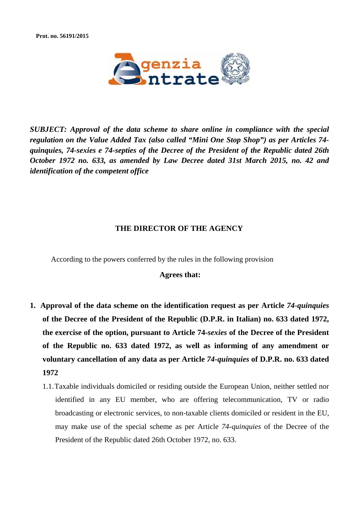

*SUBJECT: Approval of the data scheme to share online in compliance with the special regulation on the Value Added Tax (also called "Mini One Stop Shop") as per Articles 74 quinquies, 74-sexies e 74-septies of the Decree of the President of the Republic dated 26th October 1972 no. 633, as amended by Law Decree dated 31st March 2015, no. 42 and identification of the competent office*

## **THE DIRECTOR OF THE AGENCY**

According to the powers conferred by the rules in the following provision

## **Agrees that:**

- **1. Approval of the data scheme on the identification request as per Article** *74-quinquies* **of the Decree of the President of the Republic (D.P.R. in Italian) no. 633 dated 1972, the exercise of the option, pursuant to Article 74-***sexies* **of the Decree of the President of the Republic no. 633 dated 1972, as well as informing of any amendment or voluntary cancellation of any data as per Article** *74-quinquies* **of D.P.R. no. 633 dated 1972**
	- 1.1.Taxable individuals domiciled or residing outside the European Union, neither settled nor identified in any EU member, who are offering telecommunication, TV or radio broadcasting or electronic services, to non-taxable clients domiciled or resident in the EU, may make use of the special scheme as per Article *74-quinquies* of the Decree of the President of the Republic dated 26th October 1972, no. 633.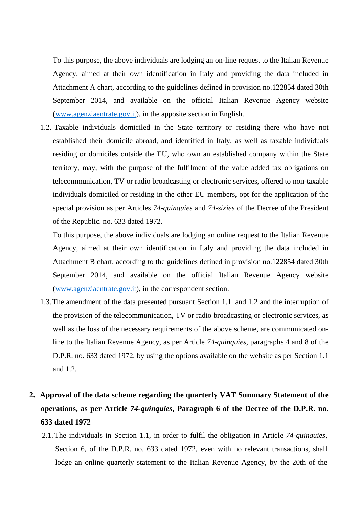To this purpose, the above individuals are lodging an on-line request to the Italian Revenue Agency, aimed at their own identification in Italy and providing the data included in Attachment A chart, according to the guidelines defined in provision no.122854 dated 30th September 2014, and available on the official Italian Revenue Agency website [\(www.agenziaentrate.gov.it\)](http://www.agenziaentrate.gov.it/), in the apposite section in English.

1.2. Taxable individuals domiciled in the State territory or residing there who have not established their domicile abroad, and identified in Italy, as well as taxable individuals residing or domiciles outside the EU, who own an established company within the State territory, may, with the purpose of the fulfilment of the value added tax obligations on telecommunication, TV or radio broadcasting or electronic services, offered to non-taxable individuals domiciled or residing in the other EU members, opt for the application of the special provision as per Articles *74-quinquies* and *74-sixies* of the Decree of the President of the Republic. no. 633 dated 1972.

To this purpose, the above individuals are lodging an online request to the Italian Revenue Agency, aimed at their own identification in Italy and providing the data included in Attachment B chart, according to the guidelines defined in provision no.122854 dated 30th September 2014, and available on the official Italian Revenue Agency website [\(www.agenziaentrate.gov.it\)](http://www.agenziaentrate.gov.it/), in the correspondent section.

1.3.The amendment of the data presented pursuant Section 1.1. and 1.2 and the interruption of the provision of the telecommunication, TV or radio broadcasting or electronic services, as well as the loss of the necessary requirements of the above scheme, are communicated online to the Italian Revenue Agency, as per Article *74-quinquies,* paragraphs 4 and 8 of the D.P.R. no. 633 dated 1972, by using the options available on the website as per Section 1.1 and 1.2.

# **2. Approval of the data scheme regarding the quarterly VAT Summary Statement of the operations, as per Article** *74-quinquies***, Paragraph 6 of the Decree of the D.P.R. no. 633 dated 1972**

2.1. The individuals in Section 1.1, in order to fulfil the obligation in Article *74-quinquies,* Section 6, of the D.P.R. no. 633 dated 1972, even with no relevant transactions, shall lodge an online quarterly statement to the Italian Revenue Agency, by the 20th of the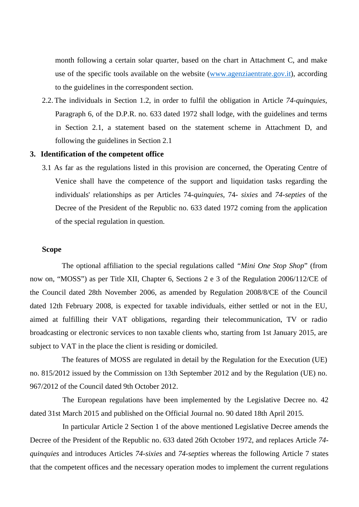month following a certain solar quarter, based on the chart in Attachment C, and make use of the specific tools available on the website [\(www.agenziaentrate.gov.it\)](http://www.agenziaentrate.gov.it/), according to the guidelines in the correspondent section.

2.2. The individuals in Section 1.2, in order to fulfil the obligation in Article *74-quinquies,* Paragraph 6, of the D.P.R. no. 633 dated 1972 shall lodge, with the guidelines and terms in Section 2.1, a statement based on the statement scheme in Attachment D, and following the guidelines in Section 2.1

#### **3. Identification of the competent office**

3.1 As far as the regulations listed in this provision are concerned, the Operating Centre of Venice shall have the competence of the support and liquidation tasks regarding the individuals' relationships as per Articles 74-*quinquies*, 74- *sixies* and *74-septies* of the Decree of the President of the Republic no. 633 dated 1972 coming from the application of the special regulation in question.

### **Scope**

The optional affiliation to the special regulations called *"Mini One Stop Shop*" (from now on, "MOSS") as per Title XII, Chapter 6, Sections 2 e 3 of the Regulation 2006/112/CE of the Council dated 28th November 2006, as amended by Regulation 2008/8/CE of the Council dated 12th February 2008, is expected for taxable individuals, either settled or not in the EU, aimed at fulfilling their VAT obligations, regarding their telecommunication, TV or radio broadcasting or electronic services to non taxable clients who, starting from 1st January 2015, are subject to VAT in the place the client is residing or domiciled.

The features of MOSS are regulated in detail by the Regulation for the Execution (UE) no. 815/2012 issued by the Commission on 13th September 2012 and by the Regulation (UE) no. 967/2012 of the Council dated 9th October 2012.

The European regulations have been implemented by the Legislative Decree no. 42 dated 31st March 2015 and published on the Official Journal no. 90 dated 18th April 2015.

In particular Article 2 Section 1 of the above mentioned Legislative Decree amends the Decree of the President of the Republic no. 633 dated 26th October 1972, and replaces Article *74 quinquies* and introduces Articles *74-sixies* and *74-septies* whereas the following Article 7 states that the competent offices and the necessary operation modes to implement the current regulations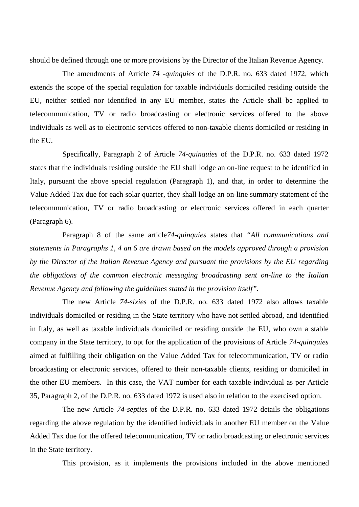should be defined through one or more provisions by the Director of the Italian Revenue Agency.

The amendments of Article *74 -quinquies* of the D.P.R. no. 633 dated 1972, which extends the scope of the special regulation for taxable individuals domiciled residing outside the EU, neither settled nor identified in any EU member, states the Article shall be applied to telecommunication, TV or radio broadcasting or electronic services offered to the above individuals as well as to electronic services offered to non-taxable clients domiciled or residing in the EU.

Specifically, Paragraph 2 of Article *74-quinquies* of the D.P.R. no. 633 dated 1972 states that the individuals residing outside the EU shall lodge an on-line request to be identified in Italy, pursuant the above special regulation (Paragraph 1), and that, in order to determine the Value Added Tax due for each solar quarter, they shall lodge an on-line summary statement of the telecommunication, TV or radio broadcasting or electronic services offered in each quarter (Paragraph 6).

Paragraph 8 of the same article*74-quinquies* states that *"All communications and statements in Paragraphs 1, 4 an 6 are drawn based on the models approved through a provision by the Director of the Italian Revenue Agency and pursuant the provisions by the EU regarding the obligations of the common electronic messaging broadcasting sent on-line to the Italian Revenue Agency and following the guidelines stated in the provision itself".*

The new Article *74-sixies* of the D.P.R. no. 633 dated 1972 also allows taxable individuals domiciled or residing in the State territory who have not settled abroad, and identified in Italy, as well as taxable individuals domiciled or residing outside the EU, who own a stable company in the State territory, to opt for the application of the provisions of Article *74-quinquies* aimed at fulfilling their obligation on the Value Added Tax for telecommunication, TV or radio broadcasting or electronic services, offered to their non-taxable clients, residing or domiciled in the other EU members. In this case, the VAT number for each taxable individual as per Article 35, Paragraph 2, of the D.P.R. no. 633 dated 1972 is used also in relation to the exercised option.

The new Article *74-septies* of the D.P.R. no. 633 dated 1972 details the obligations regarding the above regulation by the identified individuals in another EU member on the Value Added Tax due for the offered telecommunication, TV or radio broadcasting or electronic services in the State territory.

This provision, as it implements the provisions included in the above mentioned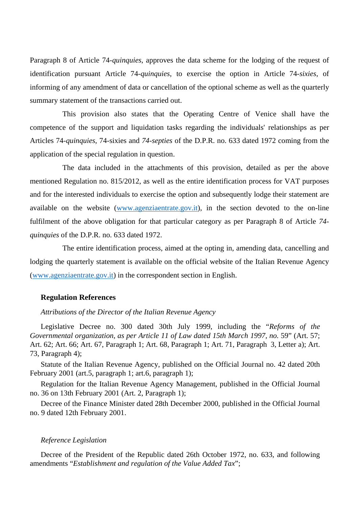Paragraph 8 of Article 74-*quinquies*, approves the data scheme for the lodging of the request of identification pursuant Article 74-*quinquies*, to exercise the option in Article 74-*sixies*, of informing of any amendment of data or cancellation of the optional scheme as well as the quarterly summary statement of the transactions carried out.

This provision also states that the Operating Centre of Venice shall have the competence of the support and liquidation tasks regarding the individuals' relationships as per Articles 74-*quinquies*, 74-sixies and *74-septies* of the D.P.R. no. 633 dated 1972 coming from the application of the special regulation in question.

The data included in the attachments of this provision, detailed as per the above mentioned Regulation no. 815/2012, as well as the entire identification process for VAT purposes and for the interested individuals to exercise the option and subsequently lodge their statement are available on the website [\(www.agenziaentrate.gov.it\)](http://www.agenziaentrate.gov.it/), in the section devoted to the on-line fulfilment of the above obligation for that particular category as per Paragraph 8 of Article *74 quinquies* of the D.P.R. no. 633 dated 1972.

The entire identification process, aimed at the opting in, amending data, cancelling and lodging the quarterly statement is available on the official website of the Italian Revenue Agency [\(www.agenziaentrate.gov.it\)](http://www.agenziaentrate.gov.it/) in the correspondent section in English.

#### **Regulation References**

*Attributions of the Director of the Italian Revenue Agency*

Legislative Decree no. 300 dated 30th July 1999, including the "*Reforms of the Governmental organization, as per Article 11 of Law dated 15th March 1997, no.* 59" (Art. 57; Art. 62; Art. 66; Art. 67, Paragraph 1; Art. 68, Paragraph 1; Art. 71, Paragraph 3, Letter a); Art. 73, Paragraph 4);

Statute of the Italian Revenue Agency, published on the Official Journal no. 42 dated 20th February 2001 (art.5, paragraph 1; art.6, paragraph 1);

Regulation for the Italian Revenue Agency Management, published in the Official Journal no. 36 on 13th February 2001 (Art. 2, Paragraph 1);

Decree of the Finance Minister dated 28th December 2000, published in the Official Journal no. 9 dated 12th February 2001.

#### *Reference Legislation*

Decree of the President of the Republic dated 26th October 1972, no. 633, and following amendments "*Establishment and regulation of the Value Added Tax*";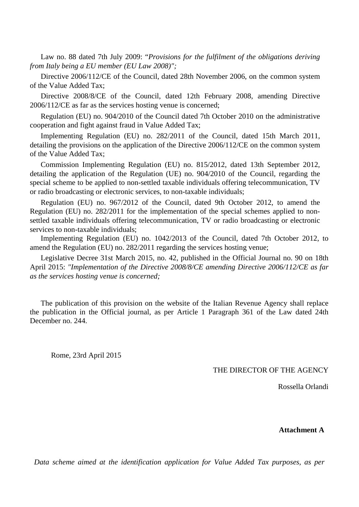Law no. 88 dated 7th July 2009: "*Provisions for the fulfilment of the obligations deriving from Italy being a EU member (EU Law 2008)";*

Directive 2006/112/CE of the Council, dated 28th November 2006, on the common system of the Value Added Tax;

Directive 2008/8/CE of the Council, dated 12th February 2008, amending Directive 2006/112/CE as far as the services hosting venue is concerned;

Regulation (EU) no. 904/2010 of the Council dated 7th October 2010 on the administrative cooperation and fight against fraud in Value Added Tax;

Implementing Regulation (EU) no. 282/2011 of the Council, dated 15th March 2011, detailing the provisions on the application of the Directive 2006/112/CE on the common system of the Value Added Tax;

Commission Implementing Regulation (EU) no. 815/2012, dated 13th September 2012, detailing the application of the Regulation (UE) no. 904/2010 of the Council, regarding the special scheme to be applied to non-settled taxable individuals offering telecommunication, TV or radio broadcasting or electronic services, to non-taxable individuals;

Regulation (EU) no. 967/2012 of the Council, dated 9th October 2012, to amend the Regulation (EU) no. 282/2011 for the implementation of the special schemes applied to nonsettled taxable individuals offering telecommunication, TV or radio broadcasting or electronic services to non-taxable individuals;

Implementing Regulation (EU) no. 1042/2013 of the Council, dated 7th October 2012, to amend the Regulation (EU) no. 282/2011 regarding the services hosting venue;

Legislative Decree 31st March 2015, no. 42, published in the Official Journal no. 90 on 18th April 2015: *"Implementation of the Directive 2008/8/CE amending Directive 2006/112/CE as far as the services hosting venue is concerned;*

The publication of this provision on the website of the Italian Revenue Agency shall replace the publication in the Official journal, as per Article 1 Paragraph 361 of the Law dated 24th December no. 244

Rome, 23rd April 2015

THE DIRECTOR OF THE AGENCY

Rossella Orlandi

#### **Attachment A**

*Data scheme aimed at the identification application for Value Added Tax purposes, as per*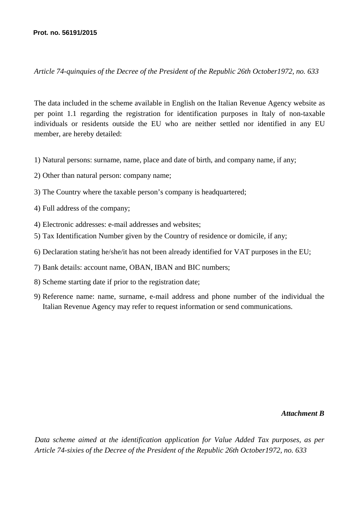*Article 74-quinquies of the Decree of the President of the Republic 26th October1972, no. 633*

The data included in the scheme available in English on the Italian Revenue Agency website as per point 1.1 regarding the registration for identification purposes in Italy of non-taxable individuals or residents outside the EU who are neither settled nor identified in any EU member, are hereby detailed:

- 1) Natural persons: surname, name, place and date of birth, and company name, if any;
- 2) Other than natural person: company name;
- 3) The Country where the taxable person's company is headquartered;
- 4) Full address of the company;
- 4) Electronic addresses: e-mail addresses and websites;
- 5) Tax Identification Number given by the Country of residence or domicile, if any;
- 6) Declaration stating he/she/it has not been already identified for VAT purposes in the EU;
- 7) Bank details: account name, OBAN, IBAN and BIC numbers;
- 8) Scheme starting date if prior to the registration date;
- 9) Reference name: name, surname, e-mail address and phone number of the individual the Italian Revenue Agency may refer to request information or send communications.

## *Attachment B*

*Data scheme aimed at the identification application for Value Added Tax purposes, as per Article 74-sixies of the Decree of the President of the Republic 26th October1972, no. 633*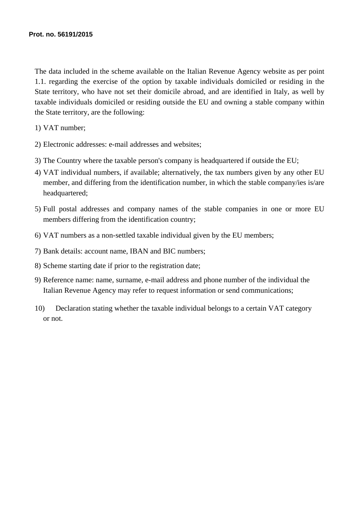The data included in the scheme available on the Italian Revenue Agency website as per point 1.1. regarding the exercise of the option by taxable individuals domiciled or residing in the State territory, who have not set their domicile abroad, and are identified in Italy, as well by taxable individuals domiciled or residing outside the EU and owning a stable company within the State territory, are the following:

1) VAT number;

- 2) Electronic addresses: e-mail addresses and websites;
- 3) The Country where the taxable person's company is headquartered if outside the EU;
- 4) VAT individual numbers, if available; alternatively, the tax numbers given by any other EU member, and differing from the identification number, in which the stable company/ies is/are headquartered;
- 5) Full postal addresses and company names of the stable companies in one or more EU members differing from the identification country;
- 6) VAT numbers as a non-settled taxable individual given by the EU members;
- 7) Bank details: account name, IBAN and BIC numbers;
- 8) Scheme starting date if prior to the registration date;
- 9) Reference name: name, surname, e-mail address and phone number of the individual the Italian Revenue Agency may refer to request information or send communications;
- 10) Declaration stating whether the taxable individual belongs to a certain VAT category or not.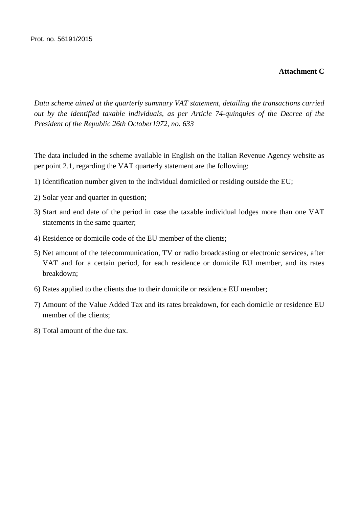# **Attachment C**

*Data scheme aimed at the quarterly summary VAT statement, detailing the transactions carried out by the identified taxable individuals, as per Article 74-quinquies of the Decree of the President of the Republic 26th October1972, no. 633*

The data included in the scheme available in English on the Italian Revenue Agency website as per point 2.1, regarding the VAT quarterly statement are the following:

- 1) Identification number given to the individual domiciled or residing outside the EU;
- 2) Solar year and quarter in question;
- 3) Start and end date of the period in case the taxable individual lodges more than one VAT statements in the same quarter;
- 4) Residence or domicile code of the EU member of the clients;
- 5) Net amount of the telecommunication, TV or radio broadcasting or electronic services, after VAT and for a certain period, for each residence or domicile EU member, and its rates breakdown;
- 6) Rates applied to the clients due to their domicile or residence EU member;
- 7) Amount of the Value Added Tax and its rates breakdown, for each domicile or residence EU member of the clients;
- 8) Total amount of the due tax.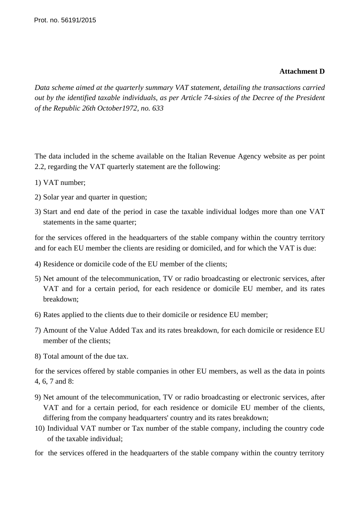## **Attachment D**

*Data scheme aimed at the quarterly summary VAT statement, detailing the transactions carried out by the identified taxable individuals, as per Article 74-sixies of the Decree of the President of the Republic 26th October1972, no. 633*

The data included in the scheme available on the Italian Revenue Agency website as per point 2.2, regarding the VAT quarterly statement are the following:

- 1) VAT number;
- 2) Solar year and quarter in question;
- 3) Start and end date of the period in case the taxable individual lodges more than one VAT statements in the same quarter;

for the services offered in the headquarters of the stable company within the country territory and for each EU member the clients are residing or domiciled, and for which the VAT is due:

- 4) Residence or domicile code of the EU member of the clients;
- 5) Net amount of the telecommunication, TV or radio broadcasting or electronic services, after VAT and for a certain period, for each residence or domicile EU member, and its rates breakdown;
- 6) Rates applied to the clients due to their domicile or residence EU member;
- 7) Amount of the Value Added Tax and its rates breakdown, for each domicile or residence EU member of the clients;
- 8) Total amount of the due tax.

for the services offered by stable companies in other EU members, as well as the data in points 4, 6, 7 and 8:

- 9) Net amount of the telecommunication, TV or radio broadcasting or electronic services, after VAT and for a certain period, for each residence or domicile EU member of the clients, differing from the company headquarters' country and its rates breakdown;
- 10) Individual VAT number or Tax number of the stable company, including the country code of the taxable individual;
- for the services offered in the headquarters of the stable company within the country territory